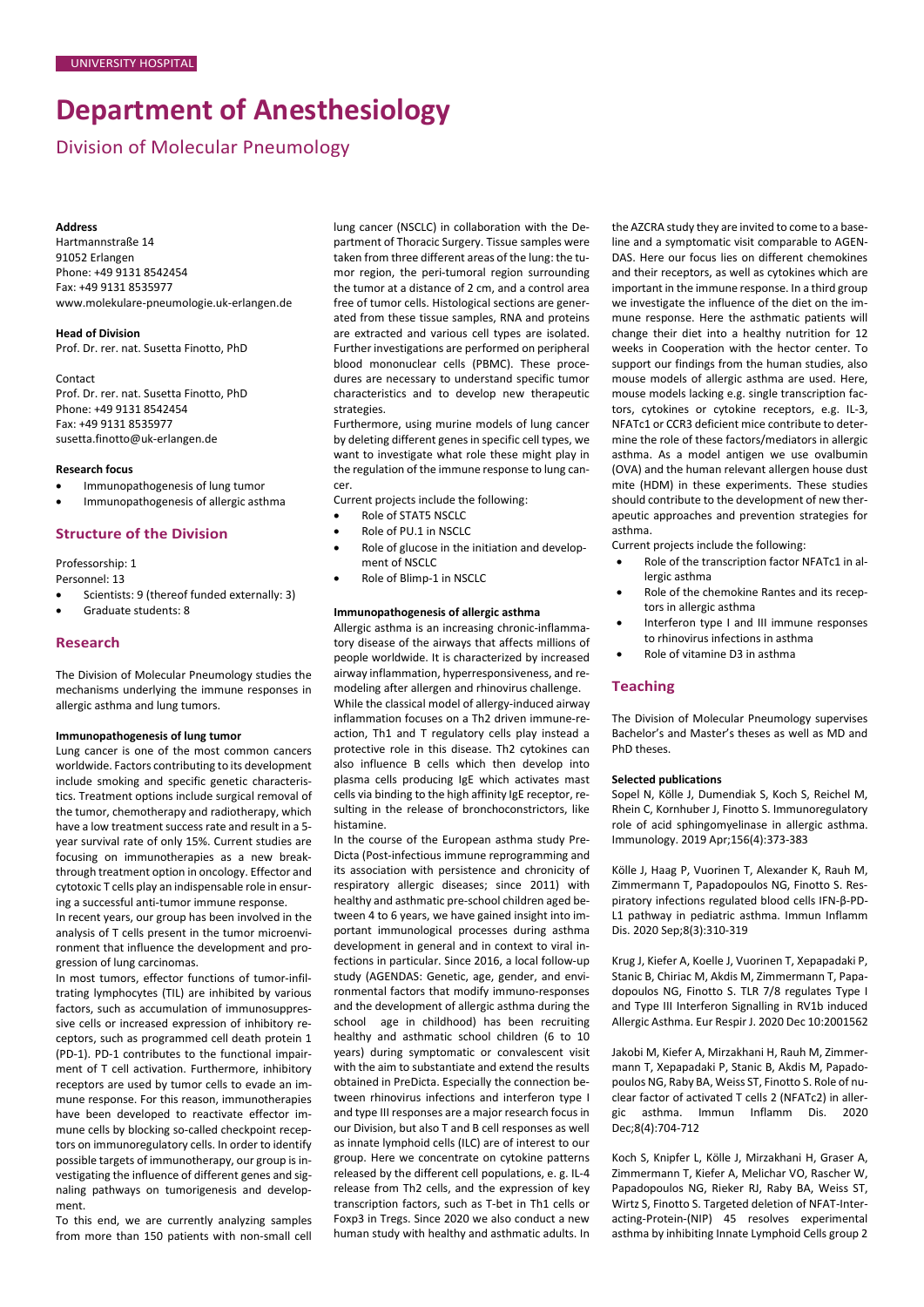# **Department of Anesthesiology**

Division of Molecular Pneumology

#### **Address**

Hartmannstraße 14 91052 Erlangen Phone: +49 9131 8542454 Fax: +49 9131 8535977 [www.molekulare-pneumologie.uk-erlangen.de](http://www.molekulare-pneumologie.uk-erlangen.de/)

# **Head of Division**

Prof. Dr. rer. nat. Susetta Finotto, PhD

#### Contact

Prof. Dr. rer. nat. Susetta Finotto, PhD Phone: +49 9131 8542454 Fax: +49 9131 8535977 [susetta.finotto@uk-erlangen.de](mailto:susetta.finotto@uk-erlangen.de)

#### **Research focus**

- Immunopathogenesis of lung tumor
- Immunopathogenesis of allergic asthma

#### **Structure of the Division**

Professorship: 1

Personnel: 13

- Scientists: 9 (thereof funded externally: 3)
- Graduate students: 8

#### **Research**

The Division of Molecular Pneumology studies the mechanisms underlying the immune responses in allergic asthma and lung tumors.

#### **Immunopathogenesis of lung tumor**

Lung cancer is one of the most common cancers worldwide. Factors contributing to its development include smoking and specific genetic characteristics. Treatment options include surgical removal of the tumor, chemotherapy and radiotherapy, which have a low treatment success rate and result in a 5 year survival rate of only 15%. Current studies are focusing on immunotherapies as a new breakthrough treatment option in oncology. Effector and cytotoxic T cells play an indispensable role in ensuring a successful anti-tumor immune response.

In recent years, our group has been involved in the analysis of T cells present in the tumor microenvironment that influence the development and progression of lung carcinomas.

In most tumors, effector functions of tumor-infiltrating lymphocytes (TIL) are inhibited by various factors, such as accumulation of immunosuppressive cells or increased expression of inhibitory receptors, such as programmed cell death protein 1 (PD-1). PD-1 contributes to the functional impairment of T cell activation. Furthermore, inhibitory receptors are used by tumor cells to evade an immune response. For this reason, immunotherapies have been developed to reactivate effector immune cells by blocking so-called checkpoint receptors on immunoregulatory cells. In order to identify possible targets of immunotherapy, our group is investigating the influence of different genes and signaling pathways on tumorigenesis and development.

To this end, we are currently analyzing samples from more than 150 patients with non-small cell

lung cancer (NSCLC) in collaboration with the Department of Thoracic Surgery. Tissue samples were taken from three different areas of the lung: the tumor region, the peri-tumoral region surrounding the tumor at a distance of 2 cm, and a control area free of tumor cells. Histological sections are generated from these tissue samples, RNA and proteins are extracted and various cell types are isolated. Further investigations are performed on peripheral blood mononuclear cells (PBMC). These procedures are necessary to understand specific tumor characteristics and to develop new therapeutic strategies.

Furthermore, using murine models of lung cancer by deleting different genes in specific cell types, we want to investigate what role these might play in the regulation of the immune response to lung cancer.

Current projects include the following:

- Role of STAT5 NSCLC
- Role of PU.1 in NSCLC
- Role of glucose in the initiation and development of NSCLC
- Role of Blimp-1 in NSCLC

#### **Immunopathogenesis of allergic asthma**

Allergic asthma is an increasing chronic-inflammatory disease of the airways that affects millions of people worldwide. It is characterized by increased airway inflammation, hyperresponsiveness, and remodeling after allergen and rhinovirus challenge. While the classical model of allergy-induced airway inflammation focuses on a Th2 driven immune-reaction, Th1 and T regulatory cells play instead a protective role in this disease. Th2 cytokines can also influence B cells which then develop into plasma cells producing IgE which activates mast cells via binding to the high affinity IgE receptor, resulting in the release of bronchoconstrictors, like histamine.

In the course of the European asthma study Pre-Dicta (Post-infectious immune reprogramming and its association with persistence and chronicity of respiratory allergic diseases; since 2011) with healthy and asthmatic pre-school children aged between 4 to 6 years, we have gained insight into important immunological processes during asthma development in general and in context to viral infections in particular. Since 2016, a local follow-up study (AGENDAS: Genetic, age, gender, and environmental factors that modify immuno-responses and the development of allergic asthma during the school age in childhood) has been recruiting healthy and asthmatic school children (6 to 10 years) during symptomatic or convalescent visit with the aim to substantiate and extend the results obtained in PreDicta. Especially the connection between rhinovirus infections and interferon type I and type III responses are a major research focus in our Division, but also T and B cell responses as well as innate lymphoid cells (ILC) are of interest to our group. Here we concentrate on cytokine patterns released by the different cell populations, e. g. IL-4 release from Th2 cells, and the expression of key transcription factors, such as T-bet in Th1 cells or Foxp3 in Tregs. Since 2020 we also conduct a new human study with healthy and asthmatic adults. In the AZCRA study they are invited to come to a baseline and a symptomatic visit comparable to AGEN-DAS. Here our focus lies on different chemokines and their receptors, as well as cytokines which are important in the immune response. In a third group we investigate the influence of the diet on the immune response. Here the asthmatic patients will change their diet into a healthy nutrition for 12 weeks in Cooperation with the hector center. To support our findings from the human studies, also mouse models of allergic asthma are used. Here, mouse models lacking e.g. single transcription factors, cytokines or cytokine receptors, e.g. IL-3, NFATc1 or CCR3 deficient mice contribute to determine the role of these factors/mediators in allergic asthma. As a model antigen we use ovalbumin (OVA) and the human relevant allergen house dust mite (HDM) in these experiments. These studies should contribute to the development of new therapeutic approaches and prevention strategies for asthma.

Current projects include the following:

- Role of the transcription factor NFATc1 in allergic asthma • Role of the chemokine Rantes and its recep-
- tors in allergic asthma • Interferon type I and III immune responses
- to rhinovirus infections in asthma
- Role of vitamine D3 in asthma

#### **Teaching**

The Division of Molecular Pneumology supervises Bachelor's and Master's theses as well as MD and PhD theses.

#### **Selected publications**

Sopel N, Kölle J, Dumendiak S, Koch S, Reichel M, Rhein C, Kornhuber J, Finotto S. Immunoregulatory role of acid sphingomyelinase in allergic asthma. Immunology. 2019 Apr;156(4):373-383

Kölle J, Haag P, Vuorinen T, Alexander K, Rauh M, Zimmermann T, Papadopoulos NG, Finotto S. Respiratory infections regulated blood cells IFN-β-PD-L1 pathway in pediatric asthma. Immun Inflamm Dis. 2020 Sep;8(3):310-319

Krug J, Kiefer A, Koelle J, Vuorinen T, Xepapadaki P, Stanic B, Chiriac M, Akdis M, Zimmermann T, Papadopoulos NG, Finotto S. TLR 7/8 regulates Type I and Type III Interferon Signalling in RV1b induced Allergic Asthma. Eur Respir J. 2020 Dec 10:2001562

Jakobi M, Kiefer A, Mirzakhani H, Rauh M, Zimmermann T, Xepapadaki P, Stanic B, Akdis M, Papadopoulos NG, Raby BA, Weiss ST, Finotto S. Role of nuclear factor of activated T cells 2 (NFATc2) in allergic asthma. Immun Inflamm Dis. 2020 Dec;8(4):704-712

Koch S, Knipfer L, Kölle J, Mirzakhani H, Graser A, Zimmermann T, Kiefer A, Melichar VO, Rascher W, Papadopoulos NG, Rieker RJ, Raby BA, Weiss ST, Wirtz S, Finotto S. Targeted deletion of NFAT-Interacting-Protein-(NIP) 45 resolves experimental asthma by inhibiting Innate Lymphoid Cells group 2